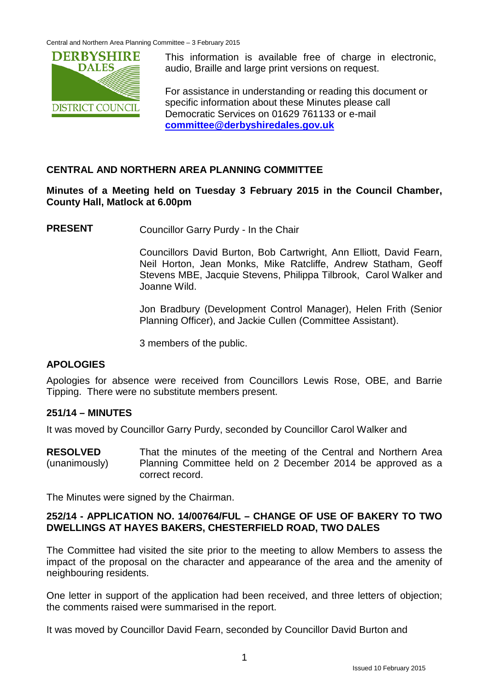Central and Northern Area Planning Committee – 3 February 2015



This information is available free of charge in electronic, audio, Braille and large print versions on request.

For assistance in understanding or reading this document or specific information about these Minutes please call Democratic Services on 01629 761133 or e-mail **[committee@derbyshiredales.gov.uk](mailto:committee@derbyshiredales.gov.uk)**

# **CENTRAL AND NORTHERN AREA PLANNING COMMITTEE**

**Minutes of a Meeting held on Tuesday 3 February 2015 in the Council Chamber, County Hall, Matlock at 6.00pm**

**PRESENT** Councillor Garry Purdy - In the Chair

Councillors David Burton, Bob Cartwright, Ann Elliott, David Fearn, Neil Horton, Jean Monks, Mike Ratcliffe, Andrew Statham, Geoff Stevens MBE, Jacquie Stevens, Philippa Tilbrook, Carol Walker and Joanne Wild.

Jon Bradbury (Development Control Manager), Helen Frith (Senior Planning Officer), and Jackie Cullen (Committee Assistant).

3 members of the public.

## **APOLOGIES**

Apologies for absence were received from Councillors Lewis Rose, OBE, and Barrie Tipping. There were no substitute members present.

## **251/14 – MINUTES**

It was moved by Councillor Garry Purdy, seconded by Councillor Carol Walker and

**RESOLVED** (unanimously) That the minutes of the meeting of the Central and Northern Area Planning Committee held on 2 December 2014 be approved as a correct record.

The Minutes were signed by the Chairman.

## **252/14 - APPLICATION NO. 14/00764/FUL – CHANGE OF USE OF BAKERY TO TWO DWELLINGS AT HAYES BAKERS, CHESTERFIELD ROAD, TWO DALES**

The Committee had visited the site prior to the meeting to allow Members to assess the impact of the proposal on the character and appearance of the area and the amenity of neighbouring residents.

One letter in support of the application had been received, and three letters of objection; the comments raised were summarised in the report.

It was moved by Councillor David Fearn, seconded by Councillor David Burton and